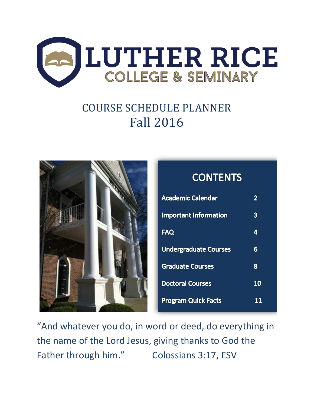

# COURSE SCHEDULE PLANNER Fall 2016



### **Academic Calendar**  $2<sup>1</sup>$ **Important Information**  $3<sup>1</sup>$ **FAQ**  $\overline{\mathbf{4}}$ **Undergraduate Courses**  $6<sup>1</sup>$ **Graduate Courses** 8 **Doctoral Courses** 10 **Program Quick Facts** 11

**CONTENTS** 

"And whatever you do, in word or deed, do everything in the name of the Lord Jesus, giving thanks to God the Father through him." Colossians 3:17, ESV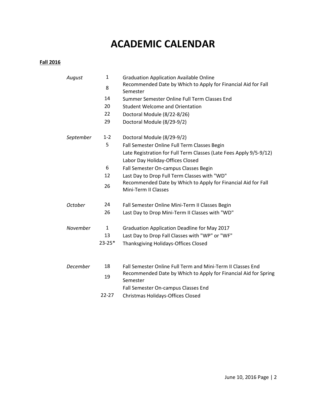## **ACADEMIC CALENDAR**

### **Fall 2016**

| August    | $\mathbf{1}$ | <b>Graduation Application Available Online</b>                                        |
|-----------|--------------|---------------------------------------------------------------------------------------|
|           | 8            | Recommended Date by Which to Apply for Financial Aid for Fall<br>Semester             |
|           | 14           | Summer Semester Online Full Term Classes End                                          |
|           | 20           | <b>Student Welcome and Orientation</b>                                                |
|           | 22           | Doctoral Module (8/22-8/26)                                                           |
|           | 29           | Doctoral Module (8/29-9/2)                                                            |
| September | $1 - 2$      | Doctoral Module (8/29-9/2)                                                            |
|           | 5            | Fall Semester Online Full Term Classes Begin                                          |
|           |              | Late Registration for Full Term Classes (Late Fees Apply 9/5-9/12)                    |
|           |              | Labor Day Holiday-Offices Closed                                                      |
|           | 6            | Fall Semester On-campus Classes Begin                                                 |
|           | 12           | Last Day to Drop Full Term Classes with "WD"                                          |
|           | 26           | Recommended Date by Which to Apply for Financial Aid for Fall<br>Mini-Term II Classes |
| October   | 24           | Fall Semester Online Mini-Term II Classes Begin                                       |
|           | 26           | Last Day to Drop Mini-Term II Classes with "WD"                                       |
| November  | $\mathbf{1}$ | Graduation Application Deadline for May 2017                                          |
|           | 13           | Last Day to Drop Fall Classes with "WP" or "WF"                                       |
|           | $23 - 25*$   | Thanksgiving Holidays-Offices Closed                                                  |
| December  | 18           | Fall Semester Online Full Term and Mini-Term II Classes End                           |
|           |              | Recommended Date by Which to Apply for Financial Aid for Spring                       |
|           | 19           | Semester                                                                              |
|           |              | Fall Semester On-campus Classes End                                                   |
|           | $22 - 27$    | Christmas Holidays-Offices Closed                                                     |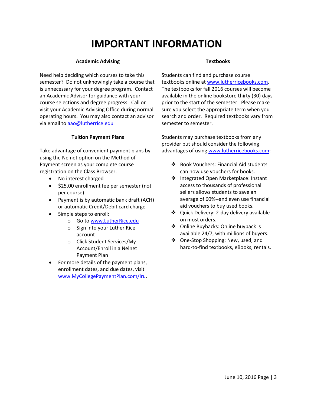### **IMPORTANT INFORMATION**

#### **Academic Advising**

Need help deciding which courses to take this semester? Do not unknowingly take a course that is unnecessary for your degree program. Contact an Academic Advisor for guidance with your course selections and degree progress. Call or visit your Academic Advising Office during normal operating hours. You may also contact an advisor via email t[o aao@lutherrice.edu](mailto:aao@lutherrice.edu)

#### **Tuition Payment Plans**

Take advantage of convenient payment plans by using the Nelnet option on the Method of Payment screen as your complete course registration on the Class Browser.

- No interest charged
- $\bullet$  \$25.00 enrollment fee per semester (not per course)
- Payment is by automatic bank draft (ACH) or automatic Credit/Debit card charge
- Simple steps to enroll:
	- o Go t[o www.LutherRice.edu](http://www.lutherrice.edu/)
	- o Sign into your Luther Rice account
	- o Click Student Services/My Account/Enroll in a Nelnet Payment Plan
- For more details of the payment plans, enrollment dates, and due dates, visit [www.MyCollegePaymentPlan.com/lru.](http://www.mycollegepaymentplan.com/lru)

#### **Textbooks**

Students can find and purchase course textbooks online at [www.lutherricebooks.com.](http://www.lutherricebooks.com/) The textbooks for fall 2016 courses will become available in the online bookstore thirty (30) days prior to the start of the semester. Please make sure you select the appropriate term when you search and order. Required textbooks vary from semester to semester.

Students may purchase textbooks from any provider but should consider the following advantages of usin[g www.lutherricebooks.com:](http://www.lutherricebooks.com/)

- Book Vouchers: Financial Aid students can now use vouchers for books.
- ❖ Integrated Open Marketplace: Instant access to thousands of professional sellers allows students to save an average of 60%--and even use financial aid vouchers to buy used books.
- Quick Delivery: 2-day delivery available on most orders.
- Online Buybacks: Online buyback is available 24/7, with millions of buyers.
- ❖ One-Stop Shopping: New, used, and hard-to-find textbooks, eBooks, rentals.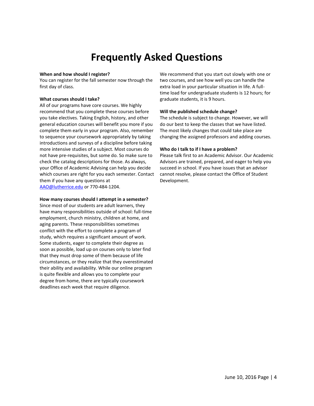### **Frequently Asked Questions**

#### **When and how should I register?**

You can register for the fall semester now through the first day of class.

#### **What courses should I take?**

All of our programs have core courses. We highly recommend that you complete these courses before you take electives. Taking English, history, and other general education courses will benefit you more if you complete them early in your program. Also, remember to sequence your coursework appropriately by taking introductions and surveys of a discipline before taking more intensive studies of a subject. Most courses do not have pre-requisites, but some do. So make sure to check the catalog descriptions for those. As always, your Office of Academic Advising can help you decide which courses are right for you each semester. Contact them if you have any questions at [AAO@lutherrice.edu](mailto:AAO@lutherrice.edu) or 770-484-1204.

#### **How many courses should I attempt in a semester?**

Since most of our students are adult learners, they have many responsibilities outside of school: full-time employment, church ministry, children at home, and aging parents. These responsibilities sometimes conflict with the effort to complete a program of study, which requires a significant amount of work. Some students, eager to complete their degree as soon as possible, load up on courses only to later find that they must drop some of them because of life circumstances, or they realize that they overestimated their ability and availability. While our online program is quite flexible and allows you to complete your degree from home, there are typically coursework deadlines each week that require diligence.

We recommend that you start out slowly with one or two courses, and see how well you can handle the extra load in your particular situation in life. A fulltime load for undergraduate students is 12 hours; for graduate students, it is 9 hours.

#### **Will the published schedule change?**

The schedule is subject to change. However, we will do our best to keep the classes that we have listed. The most likely changes that could take place are changing the assigned professors and adding courses.

#### **Who do I talk to if I have a problem?**

Please talk first to an Academic Advisor. Our Academic Advisors are trained, prepared, and eager to help you succeed in school. If you have issues that an advisor cannot resolve, please contact the Office of Student Development.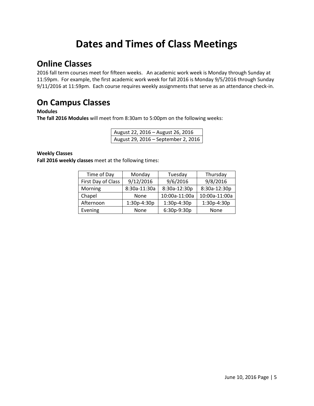## **Dates and Times of Class Meetings**

### **Online Classes**

2016 fall term courses meet for fifteen weeks. An academic work week is Monday through Sunday at 11:59pm. For example, the first academic work week for fall 2016 is Monday 9/5/2016 through Sunday 9/11/2016 at 11:59pm. Each course requires weekly assignments that serve as an attendance check-in.

### **On Campus Classes**

### **Modules**

**The fall 2016 Modules** will meet from 8:30am to 5:00pm on the following weeks:

| August 22, 2016 - August 26, 2016   |
|-------------------------------------|
| August 29, 2016 - September 2, 2016 |

### **Weekly Classes**

**Fall 2016 weekly classes** meet at the following times:

| Time of Day        | Monday       | Tuesday       | Thursday      |
|--------------------|--------------|---------------|---------------|
| First Day of Class | 9/12/2016    | 9/6/2016      | 9/8/2016      |
| Morning            | 8:30a-11:30a | 8:30a-12:30p  | 8:30a-12:30p  |
| Chapel             | None         | 10:00a-11:00a | 10:00a-11:00a |
| Afternoon          | 1:30p-4:30p  | 1:30p-4:30p   | 1:30p-4:30p   |
| Evening            | None         | 6:30p-9:30p   | None          |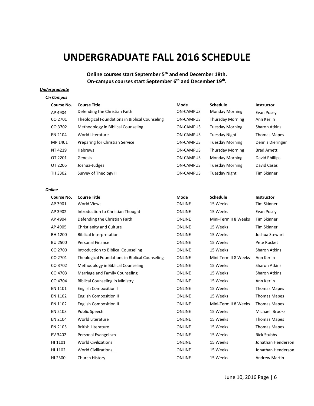### **UNDERGRADUATE FALL 2016 SCHEDULE**

**Online courses start September 5th and end December 18th. On-campus courses start September 6 th and December 19th .**

#### *Undergraduate*

| <b>On Campus</b> |                                                       |                  |                         |                      |  |
|------------------|-------------------------------------------------------|------------------|-------------------------|----------------------|--|
| Course No.       | <b>Course Title</b>                                   | Mode             | <b>Schedule</b>         | <b>Instructor</b>    |  |
| AP 4904          | Defending the Christian Faith                         | ON-CAMPUS        | <b>Monday Morning</b>   | Evan Posey           |  |
| CO 2701          | <b>Theological Foundations in Biblical Counseling</b> | ON-CAMPUS        | <b>Thursday Morning</b> | Ann Kerlin           |  |
| CO 3702          | Methodology in Biblical Counseling                    | ON-CAMPUS        | <b>Tuesday Morning</b>  | <b>Sharon Atkins</b> |  |
| EN 2104          | World Literature                                      | <b>ON-CAMPUS</b> | <b>Tuesday Night</b>    | <b>Thomas Mapes</b>  |  |
| MP 1401          | Preparing for Christian Service                       | ON-CAMPUS        | <b>Tuesday Morning</b>  | Dennis Dieringer     |  |
| NT4219           | <b>Hebrews</b>                                        | ON-CAMPUS        | <b>Thursday Morning</b> | <b>Brad Arnett</b>   |  |
| OT 2201          | Genesis                                               | ON-CAMPUS        | <b>Monday Morning</b>   | David Phillips       |  |
| OT 2206          | Joshua-Judges                                         | ON-CAMPUS        | <b>Tuesday Morning</b>  | David Casas          |  |
| TH 3302          | Survey of Theology II                                 | ON-CAMPUS        | <b>Tuesday Night</b>    | <b>Tim Skinner</b>   |  |

#### *Online*

| Course No.     | <b>Course Title</b>                                   | Mode          | <b>Schedule</b>      | Instructor           |
|----------------|-------------------------------------------------------|---------------|----------------------|----------------------|
| AP 3901        | <b>World Views</b>                                    | <b>ONLINE</b> | 15 Weeks             | <b>Tim Skinner</b>   |
| AP 3902        | Introduction to Christian Thought                     | <b>ONLINE</b> | 15 Weeks             | Evan Posey           |
| AP 4904        | Defending the Christian Faith                         | <b>ONLINE</b> | Mini-Term II 8 Weeks | <b>Tim Skinner</b>   |
| AP 4905        | Christianity and Culture                              | <b>ONLINE</b> | 15 Weeks             | <b>Tim Skinner</b>   |
| BH 1200        | <b>Biblical Interpretation</b>                        | <b>ONLINE</b> | 15 Weeks             | Joshua Stewart       |
| <b>BU 2500</b> | <b>Personal Finance</b>                               | <b>ONLINE</b> | 15 Weeks             | Pete Rocket          |
| CO 2700        | Introduction to Biblical Counseling                   | <b>ONLINE</b> | 15 Weeks             | <b>Sharon Atkins</b> |
| CO 2701        | <b>Theological Foundations in Biblical Counseling</b> | <b>ONLINE</b> | Mini-Term II 8 Weeks | Ann Kerlin           |
| CO 3702        | Methodology in Biblical Counseling                    | <b>ONLINE</b> | 15 Weeks             | <b>Sharon Atkins</b> |
| CO 4703        | Marriage and Family Counseling                        | <b>ONLINE</b> | 15 Weeks             | <b>Sharon Atkins</b> |
| CO 4704        | <b>Biblical Counseling in Ministry</b>                | <b>ONLINE</b> | 15 Weeks             | Ann Kerlin           |
| EN 1101        | <b>English Composition I</b>                          | <b>ONLINE</b> | 15 Weeks             | <b>Thomas Mapes</b>  |
| EN 1102        | <b>English Composition II</b>                         | <b>ONLINE</b> | 15 Weeks             | <b>Thomas Mapes</b>  |
| EN 1102        | <b>English Composition II</b>                         | <b>ONLINE</b> | Mini-Term II 8 Weeks | <b>Thomas Mapes</b>  |
| EN 2103        | Public Speech                                         | <b>ONLINE</b> | 15 Weeks             | Michael Brooks       |
| EN 2104        | World Literature                                      | <b>ONLINE</b> | 15 Weeks             | <b>Thomas Mapes</b>  |
| EN 2105        | <b>British Literature</b>                             | <b>ONLINE</b> | 15 Weeks             | <b>Thomas Mapes</b>  |
| EV 3402        | Personal Evangelism                                   | <b>ONLINE</b> | 15 Weeks             | <b>Rick Stubbs</b>   |
| HI 1101        | <b>World Civilizations I</b>                          | <b>ONLINE</b> | 15 Weeks             | Jonathan Henderson   |
| HI 1102        | <b>World Civilizations II</b>                         | <b>ONLINE</b> | 15 Weeks             | Jonathan Henderson   |
| HI 2300        | Church History                                        | <b>ONLINE</b> | 15 Weeks             | <b>Andrew Martin</b> |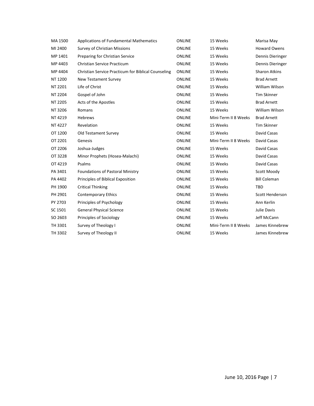| MA 1500 | <b>Applications of Fundamental Mathematics</b>      | <b>ONLINE</b> | 15 Weeks             | Marisa May           |
|---------|-----------------------------------------------------|---------------|----------------------|----------------------|
| MI 2400 | Survey of Christian Missions                        | <b>ONLINE</b> | 15 Weeks             | <b>Howard Owens</b>  |
| MP 1401 | Preparing for Christian Service                     | <b>ONLINE</b> | 15 Weeks             | Dennis Dieringer     |
| MP 4403 | Christian Service Practicum                         | <b>ONLINE</b> | 15 Weeks             | Dennis Dieringer     |
| MP 4404 | Christian Service Practicum for Biblical Counseling | <b>ONLINE</b> | 15 Weeks             | <b>Sharon Atkins</b> |
| NT 1200 | New Testament Survey                                | <b>ONLINE</b> | 15 Weeks             | <b>Brad Arnett</b>   |
| NT 2201 | Life of Christ                                      | <b>ONLINE</b> | 15 Weeks             | William Wilson       |
| NT 2204 | Gospel of John                                      | <b>ONLINE</b> | 15 Weeks             | <b>Tim Skinner</b>   |
| NT 2205 | Acts of the Apostles                                | <b>ONLINE</b> | 15 Weeks             | <b>Brad Arnett</b>   |
| NT 3206 | Romans                                              | <b>ONLINE</b> | 15 Weeks             | William Wilson       |
| NT 4219 | Hebrews                                             | <b>ONLINE</b> | Mini-Term II 8 Weeks | <b>Brad Arnett</b>   |
| NT 4227 | Revelation                                          | <b>ONLINE</b> | 15 Weeks             | <b>Tim Skinner</b>   |
| OT 1200 | <b>Old Testament Survey</b>                         | <b>ONLINE</b> | 15 Weeks             | David Casas          |
| OT 2201 | Genesis                                             | <b>ONLINE</b> | Mini-Term II 8 Weeks | David Casas          |
| OT 2206 | Joshua-Judges                                       | <b>ONLINE</b> | 15 Weeks             | David Casas          |
| OT 3228 | Minor Prophets (Hosea-Malachi)                      | <b>ONLINE</b> | 15 Weeks             | David Casas          |
| OT 4219 | Psalms                                              | <b>ONLINE</b> | 15 Weeks             | David Casas          |
| PA 3401 | <b>Foundations of Pastoral Ministry</b>             | <b>ONLINE</b> | 15 Weeks             | Scott Moody          |
| PA 4402 | Principles of Biblical Exposition                   | <b>ONLINE</b> | 15 Weeks             | <b>Bill Coleman</b>  |
| PH 1900 | <b>Critical Thinking</b>                            | <b>ONLINE</b> | 15 Weeks             | <b>TBD</b>           |
| PH 2901 | <b>Contemporary Ethics</b>                          | <b>ONLINE</b> | 15 Weeks             | Scott Henderson      |
| PY 2703 | Principles of Psychology                            | <b>ONLINE</b> | 15 Weeks             | Ann Kerlin           |
| SC 1501 | <b>General Physical Science</b>                     | <b>ONLINE</b> | 15 Weeks             | Julie Davis          |
| SO 2603 | Principles of Sociology                             | <b>ONLINE</b> | 15 Weeks             | Jeff McCann          |
| TH 3301 | Survey of Theology I                                | <b>ONLINE</b> | Mini-Term II 8 Weeks | James Kinnebrew      |
| TH 3302 | Survey of Theology II                               | <b>ONLINE</b> | 15 Weeks             | James Kinnebrew      |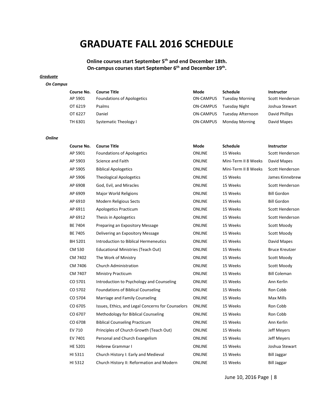### **GRADUATE FALL 2016 SCHEDULE**

**Online courses start September 5th and end December 18th. On-campus courses start September 6th and December 19th .**

#### *Graduate*

#### *On Campus*

| Course No. | <b>Course Title</b>               | Mode             | Schedule               | <b>Instructor</b> |
|------------|-----------------------------------|------------------|------------------------|-------------------|
| AP 5901    | <b>Foundations of Apologetics</b> | <b>ON-CAMPUS</b> | <b>Tuesday Morning</b> | Scott Henderson   |
| OT 6219    | Psalms                            | <b>ON-CAMPUS</b> | Tuesday Night          | Joshua Stewart    |
| OT 6227    | Daniel                            | ON-CAMPUS        | Tuesday Afternoon      | David Phillips    |
| TH 6301    | <b>Systematic Theology I</b>      | ON-CAMPUS        | <b>Monday Morning</b>  | David Mapes       |

#### *Online*

| Course No.     | <b>Course Title</b>                               | Mode          | <b>Schedule</b>      | <b>Instructor</b>      |
|----------------|---------------------------------------------------|---------------|----------------------|------------------------|
| AP 5901        | <b>Foundations of Apologetics</b>                 | <b>ONLINE</b> | 15 Weeks             | Scott Henderson        |
| AP 5903        | Science and Faith                                 | <b>ONLINE</b> | Mini-Term II 8 Weeks | David Mapes            |
| AP 5905        | <b>Biblical Apologetics</b>                       | <b>ONLINE</b> | Mini-Term II 8 Weeks | Scott Henderson        |
| AP 5906        | <b>Theological Apologetics</b>                    | <b>ONLINE</b> | 15 Weeks             | James Kinnebrew        |
| AP 6908        | God, Evil, and Miracles                           | <b>ONLINE</b> | 15 Weeks             | <b>Scott Henderson</b> |
| AP 6909        | <b>Major World Religions</b>                      | <b>ONLINE</b> | 15 Weeks             | <b>Bill Gordon</b>     |
| AP 6910        | <b>Modern Religious Sects</b>                     | <b>ONLINE</b> | 15 Weeks             | <b>Bill Gordon</b>     |
| AP 6911        | Apologetics Practicum                             | <b>ONLINE</b> | 15 Weeks             | Scott Henderson        |
| AP 6912        | Thesis in Apologetics                             | <b>ONLINE</b> | 15 Weeks             | Scott Henderson        |
| BE 7404        | Preparing an Expository Message                   | ONLINE        | 15 Weeks             | Scott Moody            |
| BE 7405        | Delivering an Expository Message                  | <b>ONLINE</b> | 15 Weeks             | Scott Moody            |
| BH 5201        | Introduction to Biblical Hermeneutics             | ONLINE        | 15 Weeks             | David Mapes            |
| <b>CM 530</b>  | <b>Educational Ministries (Teach Out)</b>         | <b>ONLINE</b> | 15 Weeks             | <b>Bruce Kreutzer</b>  |
| CM 7402        | The Work of Ministry                              | <b>ONLINE</b> | 15 Weeks             | Scott Moody            |
| CM 7406        | <b>Church Administration</b>                      | <b>ONLINE</b> | 15 Weeks             | Scott Moody            |
| CM 7407        | <b>Ministry Practicum</b>                         | <b>ONLINE</b> | 15 Weeks             | <b>Bill Coleman</b>    |
| CO 5701        | Introduction to Psychology and Counseling         | ONLINE        | 15 Weeks             | Ann Kerlin             |
| CO 5702        | <b>Foundations of Biblical Counseling</b>         | <b>ONLINE</b> | 15 Weeks             | Ron Cobb               |
| CO 5704        | Marriage and Family Counseling                    | ONLINE        | 15 Weeks             | Max Mills              |
| CO 6705        | Issues, Ethics, and Legal Concerns for Counselors | ONLINE        | 15 Weeks             | Ron Cobb               |
| CO 6707        | Methodology for Biblical Counseling               | ONLINE        | 15 Weeks             | Ron Cobb               |
| CO 6708        | <b>Biblical Counseling Practicum</b>              | <b>ONLINE</b> | 15 Weeks             | Ann Kerlin             |
| EV 710         | Principles of Church Growth (Teach Out)           | <b>ONLINE</b> | 15 Weeks             | Jeff Meyers            |
| EV 7401        | Personal and Church Evangelism                    | <b>ONLINE</b> | 15 Weeks             | Jeff Meyers            |
| <b>HE 5201</b> | <b>Hebrew Grammar I</b>                           | <b>ONLINE</b> | 15 Weeks             | Joshua Stewart         |
| HI 5311        | Church History I: Early and Medieval              | <b>ONLINE</b> | 15 Weeks             | <b>Bill Jaggar</b>     |
| HI 5312        | Church History II: Reformation and Modern         | <b>ONLINE</b> | 15 Weeks             | <b>Bill Jaggar</b>     |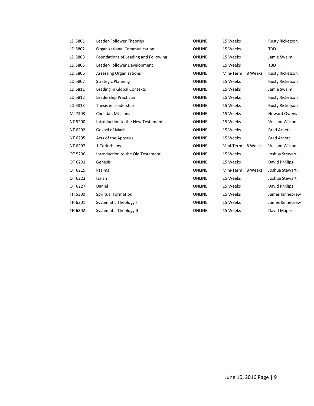| LD 5801 | Leader-Follower Theories             | <b>ONLINE</b> | 15 Weeks             | <b>Rusty Ricketson</b> |
|---------|--------------------------------------|---------------|----------------------|------------------------|
| LD 5802 | Organizational Communication         | <b>ONLINE</b> | 15 Weeks             | <b>TBD</b>             |
| LD 5803 | Foundations of Leading and Following | <b>ONLINE</b> | 15 Weeks             | Jamie Swalm            |
| LD 5805 | Leader-Follower Development          | <b>ONLINE</b> | 15 Weeks             | TBD                    |
| LD 5806 | <b>Assessing Organizations</b>       | <b>ONLINE</b> | Mini-Term II 8 Weeks | <b>Rusty Ricketson</b> |
| LD 6807 | <b>Strategic Planning</b>            | <b>ONLINE</b> | 15 Weeks             | <b>Rusty Ricketson</b> |
| LD 6811 | Leading in Global Contexts           | <b>ONLINE</b> | 15 Weeks             | Jamie Swalm            |
| LD 6812 | Leadership Practicum                 | <b>ONLINE</b> | 15 Weeks             | <b>Rusty Ricketson</b> |
| LD 6813 | Thesis in Leadership                 | <b>ONLINE</b> | 15 Weeks             | <b>Rusty Ricketson</b> |
| MI 7403 | <b>Christian Missions</b>            | <b>ONLINE</b> | 15 Weeks             | <b>Howard Owens</b>    |
| NT 5200 | Introduction to the New Testament    | <b>ONLINE</b> | 15 Weeks             | William Wilson         |
| NT 6202 | Gospel of Mark                       | <b>ONLINE</b> | 15 Weeks             | <b>Brad Arnett</b>     |
| NT 6205 | Acts of the Apostles                 | <b>ONLINE</b> | 15 Weeks             | <b>Brad Arnett</b>     |
| NT 6207 | 1 Corinthians                        | <b>ONLINE</b> | Mini-Term II 8 Weeks | William Wilson         |
| OT 5200 | Introduction to the Old Testament    | <b>ONLINE</b> | 15 Weeks             | Joshua Stewart         |
| OT 6201 | Genesis                              | <b>ONLINE</b> | 15 Weeks             | David Phillips         |
| OT 6219 | Psalms                               | <b>ONLINE</b> | Mini-Term II 8 Weeks | Joshua Stewart         |
| OT 6223 | Isaiah                               | <b>ONLINE</b> | 15 Weeks             | Joshua Stewart         |
| OT 6227 | Daniel                               | <b>ONLINE</b> | 15 Weeks             | David Phillips         |
| TH 5300 | Spiritual Formation                  | <b>ONLINE</b> | 15 Weeks             | James Kinnebrew        |
| TH 6301 | <b>Systematic Theology I</b>         | <b>ONLINE</b> | 15 Weeks             | James Kinnebrew        |
| TH 6302 | <b>Systematic Theology II</b>        | <b>ONLINE</b> | 15 Weeks             | David Mapes            |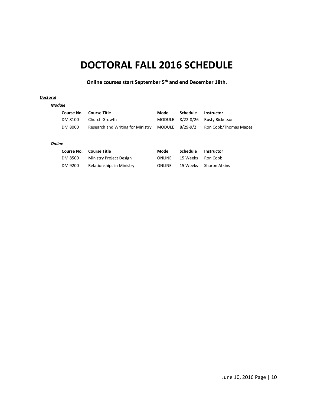## **DOCTORAL FALL 2016 SCHEDULE**

**Online courses start September 5th and end December 18th.**

#### *Doctoral*

#### *Module*

| Course No. | Course Title                                      | Mode | <b>Schedule</b> | <b>Instructor</b>                |
|------------|---------------------------------------------------|------|-----------------|----------------------------------|
| DM 8100    | Church Growth                                     |      |                 | MODULE 8/22-8/26 Rusty Ricketson |
| DM 8000    | Research and Writing for Ministry MODULE 8/29-9/2 |      |                 | Ron Cobb/Thomas Mapes            |

#### *Online*

| Course No. | Course Title              | Mode          | Schedule | <b>Instructor</b> |
|------------|---------------------------|---------------|----------|-------------------|
| DM 8500    | Ministry Project Design   | <b>ONLINE</b> | 15 Weeks | Ron Cobb          |
| DM 9200    | Relationships in Ministry | <b>ONLINE</b> | 15 Weeks | Sharon Atkins     |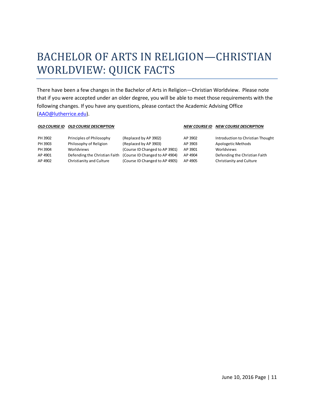# BACHELOR OF ARTS IN RELIGION—CHRISTIAN WORLDVIEW: QUICK FACTS

There have been a few changes in the Bachelor of Arts in Religion—Christian Worldview. Please note that if you were accepted under an older degree, you will be able to meet those requirements with the following changes. If you have any questions, please contact the Academic Advising Office [\(AAO@lutherrice.edu\)](mailto:AAO@lutherrice.edu).

#### *OLD COURSE ID OLD COURSE DESCRIPTION NEW COURSE ID NEW COURSE DESCRIPTION*

| PH 3902 | Principles of Philosophy      | (Replaced by AP 3902)          | AP 3902 | Introduction to Christian Thought |
|---------|-------------------------------|--------------------------------|---------|-----------------------------------|
| PH 3903 | Philosophy of Religion        | (Replaced by AP 3903)          | AP 3903 | Apologetic Methods                |
| PH 3904 | Worldviews                    | (Course ID Changed to AP 3901) | AP 3901 | Worldviews                        |
| AP 4901 | Defending the Christian Faith | (Course ID Changed to AP 4904) | AP 4904 | Defending the Christian Faith     |
| AP 4902 | Christianity and Culture      | (Course ID Changed to AP 4905) | AP 4905 | Christianity and Culture          |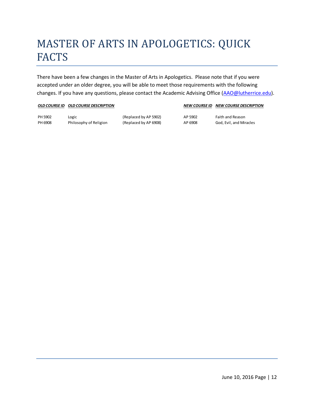# MASTER OF ARTS IN APOLOGETICS: QUICK **FACTS**

There have been a few changes in the Master of Arts in Apologetics. Please note that if you were accepted under an older degree, you will be able to meet those requirements with the following changes. If you have any questions, please contact the Academic Advising Office [\(AAO@lutherrice.edu\)](mailto:AAO@lutherrice.edu).

#### *OLD COURSE ID OLD COURSE DESCRIPTION NEW COURSE ID NEW COURSE DESCRIPTION*

PH 5902 Logic CReplaced by AP 5902 AP 5902 Faith and Reason

PH 6908 Philosophy of Religion (Replaced by AP 6908) AP 6908 God, Evil, and Miracles